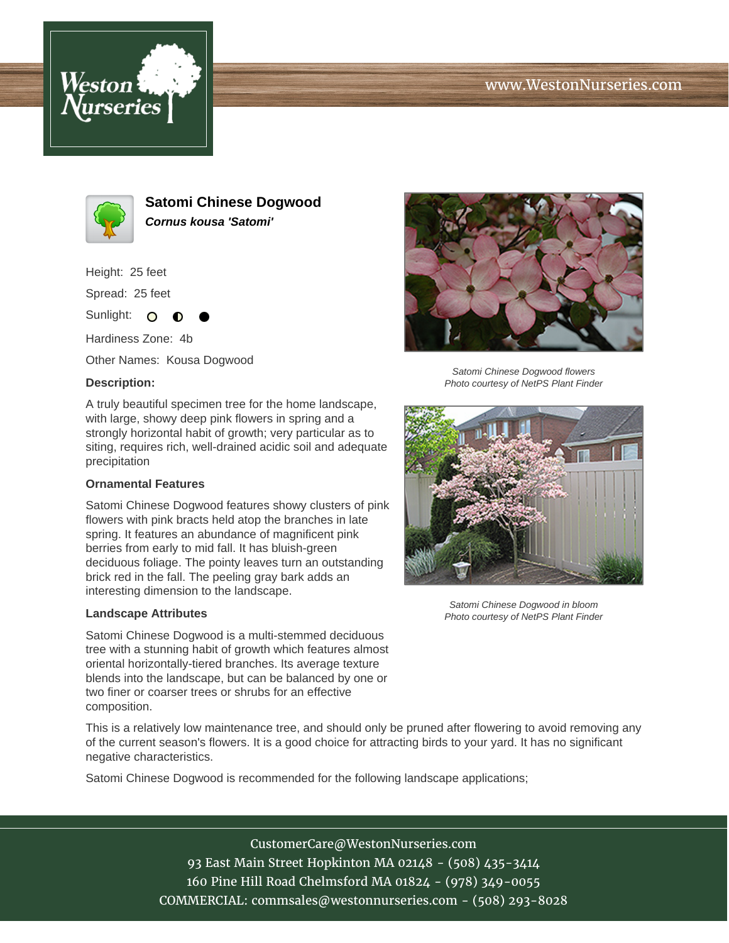





**Satomi Chinese Dogwood Cornus kousa 'Satomi'**

Height: 25 feet

Spread: 25 feet

Sunlight: O  $\bullet$ 

Hardiness Zone: 4b

Other Names: Kousa Dogwood

## **Description:**

A truly beautiful specimen tree for the home landscape, with large, showy deep pink flowers in spring and a strongly horizontal habit of growth; very particular as to siting, requires rich, well-drained acidic soil and adequate precipitation

## **Ornamental Features**

Satomi Chinese Dogwood features showy clusters of pink flowers with pink bracts held atop the branches in late spring. It features an abundance of magnificent pink berries from early to mid fall. It has bluish-green deciduous foliage. The pointy leaves turn an outstanding brick red in the fall. The peeling gray bark adds an interesting dimension to the landscape.

## **Landscape Attributes**

Satomi Chinese Dogwood is a multi-stemmed deciduous tree with a stunning habit of growth which features almost oriental horizontally-tiered branches. Its average texture blends into the landscape, but can be balanced by one or two finer or coarser trees or shrubs for an effective composition.

Satomi Chinese Dogwood flowers Photo courtesy of NetPS Plant Finder



Satomi Chinese Dogwood in bloom Photo courtesy of NetPS Plant Finder

This is a relatively low maintenance tree, and should only be pruned after flowering to avoid removing any of the current season's flowers. It is a good choice for attracting birds to your yard. It has no significant negative characteristics.

Satomi Chinese Dogwood is recommended for the following landscape applications;

CustomerCare@WestonNurseries.com 93 East Main Street Hopkinton MA 02148 - (508) 435-3414 160 Pine Hill Road Chelmsford MA 01824 - (978) 349-0055 COMMERCIAL: commsales@westonnurseries.com - (508) 293-8028